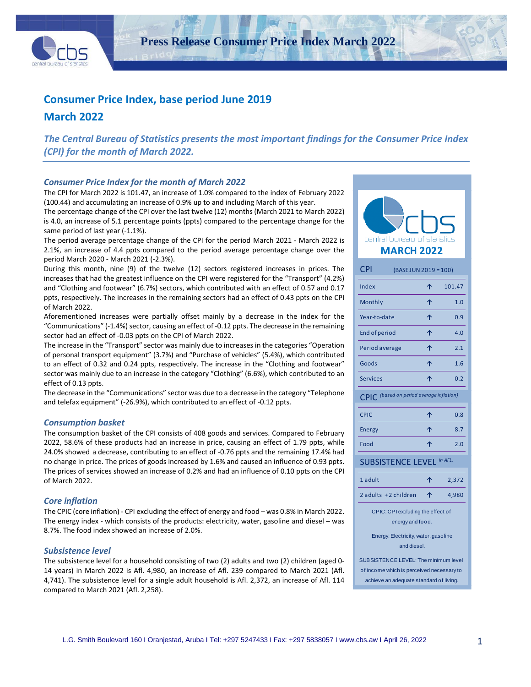

**Press Release Consumer Price Index March 2022**

# **Consumer Price Index, base period June 2019**

## **March 2022**

*The Central Bureau of Statistics presents the most important findings for the Consumer Price Index (CPI) for the month of March 2022.*

#### *Consumer Price Index for the month of March 2022*

The CPI for March 2022 is 101.47, an increase of 1.0% compared to the index of February 2022 (100.44) and accumulating an increase of 0.9% up to and including March of this year.

The percentage change of the CPI over the last twelve (12) months (March 2021 to March 2022) is 4.0, an increase of 5.1 percentage points (ppts) compared to the percentage change for the same period of last year (-1.1%).

The period average percentage change of the CPI for the period March 2021 - March 2022 is 2.1%, an increase of 4.4 ppts compared to the period average percentage change over the period March 2020 - March 2021 (-2.3%).

During this month, nine (9) of the twelve (12) sectors registered increases in prices. The increases that had the greatest influence on the CPI were registered for the "Transport" (4.2%) and "Clothing and footwear" (6.7%) sectors, which contributed with an effect of 0.57 and 0.17 ppts, respectively. The increases in the remaining sectors had an effect of 0.43 ppts on the CPI of March 2022.

Aforementioned increases were partially offset mainly by a decrease in the index for the "Communications" (-1.4%) sector, causing an effect of -0.12 ppts. The decrease in the remaining sector had an effect of -0.03 ppts on the CPI of March 2022.

The increase in the "Transport" sector was mainly due to increases in the categories "Operation of personal transport equipment" (3.7%) and "Purchase of vehicles" (5.4%), which contributed to an effect of 0.32 and 0.24 ppts, respectively. The increase in the "Clothing and footwear" sector was mainly due to an increase in the category "Clothing" (6.6%), which contributed to an effect of 0.13 ppts.

The decrease in the "Communications" sector was due to a decrease in the category "Telephone and telefax equipment" (-26.9%), which contributed to an effect of -0.12 ppts.

#### *Consumption basket*

The consumption basket of the CPI consists of 408 goods and services. Compared to February 2022, 58.6% of these products had an increase in price, causing an effect of 1.79 ppts, while 24.0% showed a decrease, contributing to an effect of -0.76 ppts and the remaining 17.4% had no change in price. The prices of goods increased by 1.6% and caused an influence of 0.93 ppts. The prices of services showed an increase of 0.2% and had an influence of 0.10 ppts on the CPI of March 2022.

#### *Core inflation*

The CPIC (core inflation) - CPI excluding the effect of energy and food – was 0.8% in March 2022. The energy index - which consists of the products: electricity, water, gasoline and diesel – was 8.7%. The food index showed an increase of 2.0%.

#### *Subsistence level*

The subsistence level for a household consisting of two (2) adults and two (2) children (aged 0- 14 years) in March 2022 is Afl. 4,980, an increase of Afl. 239 compared to March 2021 (Afl. 4,741). The subsistence level for a single adult household is Afl. 2,372, an increase of Afl. 114 compared to March 2021 (Afl. 2,258).



| CPI                                                   | (BASE JUN 2019 = 100)                                                              |   |         |  |  |  |  |
|-------------------------------------------------------|------------------------------------------------------------------------------------|---|---------|--|--|--|--|
| Index                                                 |                                                                                    | ↑ | 101.47  |  |  |  |  |
| Monthly                                               |                                                                                    | ↑ | 1.0     |  |  |  |  |
| Year-to-date                                          |                                                                                    | 个 | 0.9     |  |  |  |  |
| End of period                                         |                                                                                    | 个 | 4.0     |  |  |  |  |
| Period average                                        |                                                                                    | 个 | 2.1     |  |  |  |  |
| Goods                                                 |                                                                                    | ሳ | 1.6     |  |  |  |  |
| <b>Services</b>                                       |                                                                                    | 个 | 0.2     |  |  |  |  |
| <b>CPIC</b>                                           | (based on period average inflation)                                                |   |         |  |  |  |  |
| <b>CPIC</b>                                           |                                                                                    | ↑ | 0.8     |  |  |  |  |
| Energy                                                |                                                                                    | ↑ | 8.7     |  |  |  |  |
| Food                                                  |                                                                                    | 个 | 2.0     |  |  |  |  |
|                                                       | <b>SUBSISTENCE LEVEL</b>                                                           |   | in AFL. |  |  |  |  |
| 1 adult                                               |                                                                                    | 个 | 2,372   |  |  |  |  |
| 2 adults +2 children                                  |                                                                                    | 个 | 4,980   |  |  |  |  |
| CPIC: CPI excluding the effect of<br>energy and food. |                                                                                    |   |         |  |  |  |  |
| Energy: Electricity, water, gasoline<br>and diesel.   |                                                                                    |   |         |  |  |  |  |
|                                                       | SUB SISTENCE LEVEL: The minimum level<br>of income which is perceived necessary to |   |         |  |  |  |  |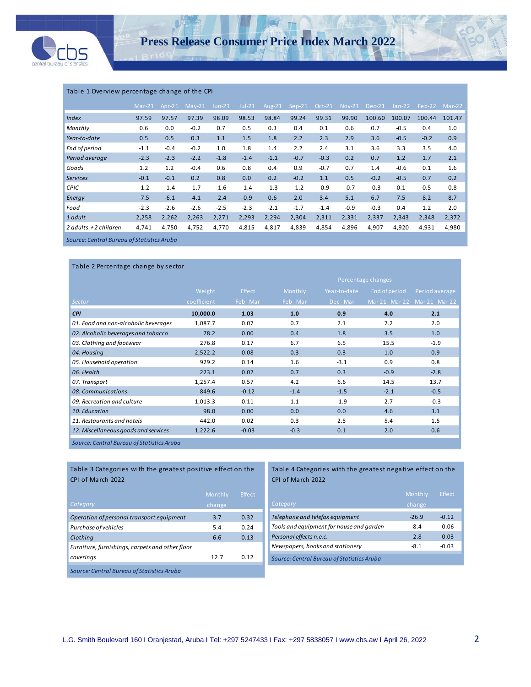

#### Table 1 Overview percentage change of the CPI

|                                            | $Mar-21$ | Apr-21 | $May-21$ | $Jun-21$ | $Jul-21$ | Aug-21 | $Sep-21$ | Oct-21 | <b>Nov-21</b> | $Dec-21$ | $Jan-22$ | Feb-22 | $Mar-22$ |
|--------------------------------------------|----------|--------|----------|----------|----------|--------|----------|--------|---------------|----------|----------|--------|----------|
| <b>Index</b>                               | 97.59    | 97.57  | 97.39    | 98.09    | 98.53    | 98.84  | 99.24    | 99.31  | 99.90         | 100.60   | 100.07   | 100.44 | 101.47   |
| Monthly                                    | 0.6      | 0.0    | $-0.2$   | 0.7      | 0.5      | 0.3    | 0.4      | 0.1    | 0.6           | 0.7      | $-0.5$   | 0.4    | 1.0      |
| Year-to-date                               | 0.5      | 0.5    | 0.3      | 1.1      | 1.5      | 1.8    | 2.2      | 2.3    | 2.9           | 3.6      | $-0.5$   | $-0.2$ | 0.9      |
| End of period                              | $-1.1$   | $-0.4$ | $-0.2$   | 1.0      | 1.8      | 1.4    | 2.2      | 2.4    | 3.1           | 3.6      | 3.3      | 3.5    | 4.0      |
| Period average                             | $-2.3$   | $-2.3$ | $-2.2$   | $-1.8$   | $-1.4$   | $-1.1$ | $-0.7$   | $-0.3$ | 0.2           | 0.7      | 1.2      | 1.7    | 2.1      |
| Goods                                      | 1.2      | 1.2    | $-0.4$   | 0.6      | 0.8      | 0.4    | 0.9      | $-0.7$ | 0.7           | 1.4      | $-0.6$   | 0.1    | 1.6      |
| <b>Services</b>                            | $-0.1$   | $-0.1$ | 0.2      | 0.8      | 0.0      | 0.2    | $-0.2$   | 1.1    | 0.5           | $-0.2$   | $-0.5$   | 0.7    | 0.2      |
| <b>CPIC</b>                                | $-1.2$   | $-1.4$ | $-1.7$   | $-1.6$   | $-1.4$   | $-1.3$ | $-1.2$   | $-0.9$ | $-0.7$        | $-0.3$   | 0.1      | 0.5    | 0.8      |
| Energy                                     | $-7.5$   | $-6.1$ | $-4.1$   | $-2.4$   | $-0.9$   | 0.6    | 2.0      | 3.4    | 5.1           | 6.7      | 7.5      | 8.2    | 8.7      |
| Food                                       | $-2.3$   | $-2.6$ | $-2.6$   | $-2.5$   | $-2.3$   | $-2.1$ | $-1.7$   | $-1.4$ | $-0.9$        | $-0.3$   | 0.4      | 1.2    | 2.0      |
| 1 adult                                    | 2,258    | 2,262  | 2,263    | 2,271    | 2,293    | 2,294  | 2,304    | 2,311  | 2,331         | 2,337    | 2,343    | 2,348  | 2,372    |
| 2 adults +2 children                       | 4,741    | 4,750  | 4,752    | 4,770    | 4,815    | 4,817  | 4,839    | 4,854  | 4,896         | 4,907    | 4,920    | 4,931  | 4,980    |
| Source: Central Bureau of Statistics Aruba |          |        |          |          |          |        |          |        |               |          |          |        |          |

*Source: Central Bureau of Statistics Aruba*

| Table 2 Percentage change by sector        |             |               |                    |              |               |                                 |  |
|--------------------------------------------|-------------|---------------|--------------------|--------------|---------------|---------------------------------|--|
|                                            |             |               | Percentage changes |              |               |                                 |  |
|                                            | Weight      | <b>Effect</b> | Monthly            | Year-to-date | End of period | Period average                  |  |
| Sector                                     | coefficient | Feb-Mar       | Feb-Mar            | Dec-Mar      |               | Mar 21 - Mar 22 Mar 21 - Mar 22 |  |
| <b>CPI</b>                                 | 10,000.0    | 1.03          | 1.0                | 0.9          | 4.0           | 2.1                             |  |
| 01. Food and non-alcoholic beverages       | 1,087.7     | 0.07          | 0.7                | 2.1          | 7.2           | 2.0                             |  |
| 02. Alcoholic beverages and tobacco        | 78.2        | 0.00          | 0.4                | 1.8          | 3.5           | 1.0                             |  |
| 03. Clothing and footwear                  | 276.8       | 0.17          | 6.7                | 6.5          | 15.5          | $-1.9$                          |  |
| 04. Housing                                | 2,522.2     | 0.08          | 0.3                | 0.3          | 1.0           | 0.9                             |  |
| 05. Household operation                    | 929.2       | 0.14          | 1.6                | $-3.1$       | 0.9           | 0.8                             |  |
| 06. Health                                 | 223.1       | 0.02          | 0.7                | 0.3          | $-0.9$        | $-2.8$                          |  |
| 07. Transport                              | 1,257.4     | 0.57          | 4.2                | 6.6          | 14.5          | 13.7                            |  |
| 08. Communications                         | 849.6       | $-0.12$       | $-1.4$             | $-1.5$       | $-2.1$        | $-0.5$                          |  |
| 09. Recreation and culture                 | 1,013.3     | 0.11          | 1.1                | $-1.9$       | 2.7           | $-0.3$                          |  |
| 10. Education                              | 98.0        | 0.00          | 0.0                | 0.0          | 4.6           | 3.1                             |  |
| 11. Restaurants and hotels                 | 442.0       | 0.02          | 0.3                | 2.5          | 5.4           | 1.5                             |  |
| 12. Miscellaneous goods and services       | 1,222.6     | $-0.03$       | $-0.3$             | 0.1          | 2.0           | 0.6                             |  |
| Source: Central Bureau of Statistics Aruba |             |               |                    |              |               |                                 |  |

#### Table 3 Categories with the greatest positive effect on the CPI of March 2022

| Category                                        | Monthly<br>change | <b>Effect</b> |
|-------------------------------------------------|-------------------|---------------|
| Operation of personal transport equipment       | 3.7               | 0.32          |
| Purchase of vehicles                            | 5.4               | 0.24          |
| Clothing                                        | 6.6               | 0.13          |
| Furniture, furnishings, carpets and other floor |                   |               |
| coverings                                       | 12.7              | 0.12          |
| Source: Central Bureau of Statistics Aruba      |                   |               |

#### Table 4 Categories with the greatest negative effect on the CPI of March 2022

| Category                                   | Monthly<br>change | Effect  |
|--------------------------------------------|-------------------|---------|
| Telephone and telefax equipment            | $-26.9$           | $-0.12$ |
| Tools and equipment for house and garden   | $-8.4$            | $-0.06$ |
| Personal effects n.e.c.                    | $-2.8$            | $-0.03$ |
| Newspapers, books and stationery           | $-8.1$            | $-0.03$ |
| Source: Central Bureau of Statistics Aruba |                   |         |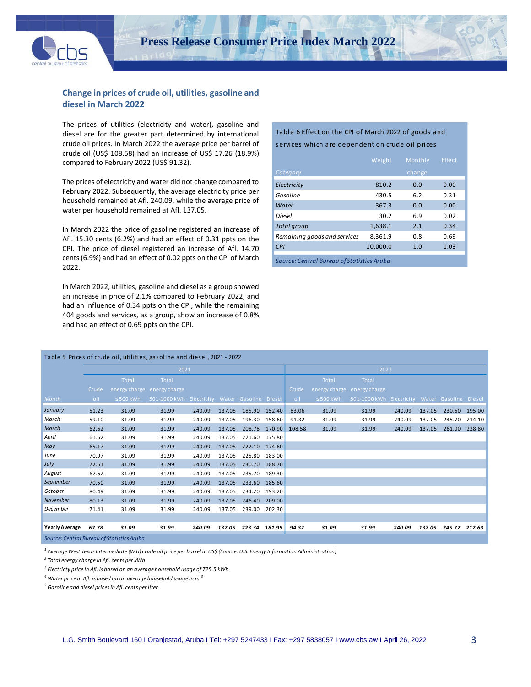

## **Change in prices of crude oil, utilities, gasoline and diesel in March 2022**

The prices of utilities (electricity and water), gasoline and diesel are for the greater part determined by international crude oil prices. In March 2022 the average price per barrel of crude oil (US\$ 108.58) had an increase of US\$ 17.26 (18.9%) compared to February 2022 (US\$ 91.32).

The prices of electricity and water did not change compared to February 2022. Subsequently, the average electricity price per household remained at Afl. 240.09, while the average price of water per household remained at Afl. 137.05.

In March 2022 the price of gasoline registered an increase of Afl. 15.30 cents (6.2%) and had an effect of 0.31 ppts on the CPI. The price of diesel registered an increase of Afl. 14.70 cents(6.9%) and had an effect of 0.02 ppts on the CPI of March 2022.

In March 2022, utilities, gasoline and diesel as a group showed an increase in price of 2.1% compared to February 2022, and had an influence of 0.34 ppts on the CPI, while the remaining 404 goods and services, as a group, show an increase of 0.8% and had an effect of 0.69 ppts on the CPI*.*

#### Table 6 Effect on the CPI of March 2022 of goods and services which are dependent on crude oil prices

|                                            | Weight   | Monthly | <b>Effect</b> |
|--------------------------------------------|----------|---------|---------------|
| Category                                   |          | change  |               |
| Electricity                                | 810.2    | 0.0     | 0.00          |
| Gasoline                                   | 430.5    | 6.2     | 0.31          |
| Water                                      | 367.3    | 0.0     | 0.00          |
| Diesel                                     | 30.2     | 6.9     | 0.02          |
| <b>Total group</b>                         | 1,638.1  | 2.1     | 0.34          |
| Remaining goods and services               | 8.361.9  | 0.8     | 0.69          |
| CPI                                        | 10,000.0 | 1.0     | 1.03          |
| Source: Central Bureau of Statistics Aruba |          |         |               |

| Table 5 Prices of crude oil, utilities, gasoline and diesel, 2021 - 2022 |       |                |                                                |        |        |        |        |        |                |                                                |        |        |               |        |
|--------------------------------------------------------------------------|-------|----------------|------------------------------------------------|--------|--------|--------|--------|--------|----------------|------------------------------------------------|--------|--------|---------------|--------|
|                                                                          |       |                | 2021                                           |        |        |        |        | 2022   |                |                                                |        |        |               |        |
|                                                                          |       | Total          | Total                                          |        |        |        |        |        | Total          | Total                                          |        |        |               |        |
|                                                                          | Crude |                | energy charge energy charge                    |        |        |        |        | Crude  |                | energy charge energy charge                    |        |        |               |        |
| <b>Month</b>                                                             | oil   | $\leq$ 500 kWh | 501-1000 kWh Electricity Water Gasoline Diesel |        |        |        |        | oil    | $\leq$ 500 kWh | 501-1000 kWh Electricity Water Gasoline Diesel |        |        |               |        |
| January                                                                  | 51.23 | 31.09          | 31.99                                          | 240.09 | 137.05 | 185.90 | 152.40 | 83.06  | 31.09          | 31.99                                          | 240.09 | 137.05 | 230.60        | 195.00 |
| March                                                                    | 59.10 | 31.09          | 31.99                                          | 240.09 | 137.05 | 196.30 | 158.60 | 91.32  | 31.09          | 31.99                                          | 240.09 | 137.05 | 245.70        | 214.10 |
| March                                                                    | 62.62 | 31.09          | 31.99                                          | 240.09 | 137.05 | 208.78 | 170.90 | 108.58 | 31.09          | 31.99                                          | 240.09 | 137.05 | 261.00 228.80 |        |
| April                                                                    | 61.52 | 31.09          | 31.99                                          | 240.09 | 137.05 | 221.60 | 175.80 |        |                |                                                |        |        |               |        |
| May                                                                      | 65.17 | 31.09          | 31.99                                          | 240.09 | 137.05 | 222.10 | 174.60 |        |                |                                                |        |        |               |        |
| June                                                                     | 70.97 | 31.09          | 31.99                                          | 240.09 | 137.05 | 225.80 | 183.00 |        |                |                                                |        |        |               |        |
| July                                                                     | 72.61 | 31.09          | 31.99                                          | 240.09 | 137.05 | 230.70 | 188.70 |        |                |                                                |        |        |               |        |
| August                                                                   | 67.62 | 31.09          | 31.99                                          | 240.09 | 137.05 | 235.70 | 189.30 |        |                |                                                |        |        |               |        |
| September                                                                | 70.50 | 31.09          | 31.99                                          | 240.09 | 137.05 | 233.60 | 185.60 |        |                |                                                |        |        |               |        |
| October                                                                  | 80.49 | 31.09          | 31.99                                          | 240.09 | 137.05 | 234.20 | 193.20 |        |                |                                                |        |        |               |        |
| November                                                                 | 80.13 | 31.09          | 31.99                                          | 240.09 | 137.05 | 246.40 | 209.00 |        |                |                                                |        |        |               |        |
| December                                                                 | 71.41 | 31.09          | 31.99                                          | 240.09 | 137.05 | 239.00 | 202.30 |        |                |                                                |        |        |               |        |
|                                                                          |       |                |                                                |        |        |        |        |        |                |                                                |        |        |               |        |
| <b>Yearly Average</b>                                                    | 67.78 | 31.09          | 31.99                                          | 240.09 | 137.05 | 223.34 | 181.95 | 94.32  | 31.09          | 31.99                                          | 240.09 | 137.05 | 245.77        | 212.63 |

*Source: Central Bureau of Statistics Aruba*

*<sup>1</sup> Average West Texas Intermediate (WTI) crude oil price per barrel in US\$ (Source: U.S. Energy Information Administration)*

*2 Total energy charge in Afl. cents per kWh* 

*3 Electricty price in Afl. is based on an average household usage of 725.5 kWh*

*<sup>4</sup> Water price in Afl. is based on an average household usage in m <sup>3</sup>*

*<sup>5</sup> Gasoline and diesel prices in Afl. cents per liter*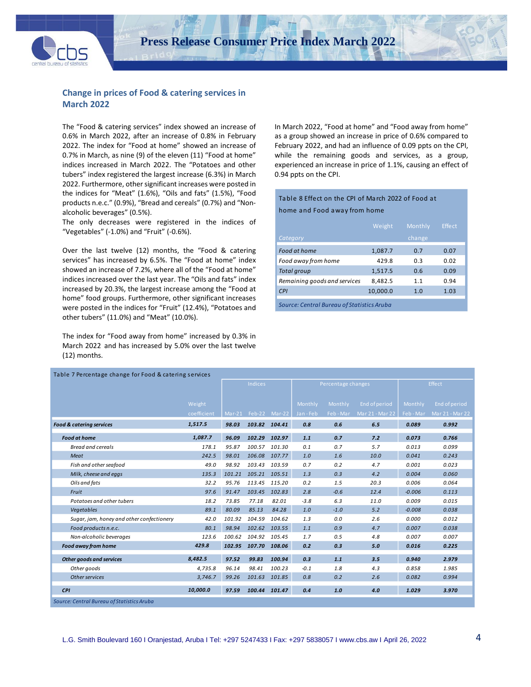

## **Change in prices of Food & catering services in March 2022**

The "Food & catering services" index showed an increase of 0.6% in March 2022, after an increase of 0.8% in February 2022. The index for "Food at home" showed an increase of 0.7% in March, as nine (9) of the eleven (11) "Food at home" indices increased in March 2022. The "Potatoes and other tubers" index registered the largest increase (6.3%) in March 2022. Furthermore, other significant increases were posted in the indices for "Meat" (1.6%), "Oils and fats" (1.5%), "Food products n.e.c." (0.9%), "Bread and cereals" (0.7%) and "Nonalcoholic beverages" (0.5%).

The only decreases were registered in the indices of "Vegetables" (-1.0%) and "Fruit" (-0.6%).

Over the last twelve (12) months, the "Food & catering services" has increased by 6.5%. The "Food at home" index showed an increase of 7.2%, where all of the "Food at home" indices increased over the last year. The "Oils and fats" index increased by 20.3%, the largest increase among the "Food at home" food groups. Furthermore, other significant increases were posted in the indices for "Fruit" (12.4%), "Potatoes and other tubers" (11.0%) and "Meat" (10.0%).

The index for "Food away from home" increased by 0.3% in March 2022 and has increased by 5.0% over the last twelve (12) months.

In March 2022, "Food at home" and "Food away from home" as a group showed an increase in price of 0.6% compared to February 2022, and had an influence of 0.09 ppts on the CPI, while the remaining goods and services, as a group, experienced an increase in price of 1.1%, causing an effect of 0.94 ppts on the CPI.

#### Table 8 Effect on the CPI of March 2022 of Food at home and Food away from home

|                              | Weight   | Monthly | <b>Effect</b> |
|------------------------------|----------|---------|---------------|
| Category                     |          | change  |               |
| Food at home                 | 1,087.7  | 0.7     | 0.07          |
| Food away from home          | 429.8    | 0.3     | 0.02          |
| Total group                  | 1,517.5  | 0.6     | 0.09          |
| Remaining goods and services | 8.482.5  | 1.1     | 0.94          |
| <b>CPI</b>                   | 10,000.0 | 1.0     | 1.03          |
|                              |          |         |               |

*Source: Central Bureau of Statistics Aruba*

| Table 7 Percentage change for Food & catering services |             |          |                |               |         |                    |                 |           |                 |  |
|--------------------------------------------------------|-------------|----------|----------------|---------------|---------|--------------------|-----------------|-----------|-----------------|--|
|                                                        |             |          | <b>Indices</b> |               |         | Percentage changes |                 |           | Effect          |  |
|                                                        |             |          |                |               |         |                    |                 |           |                 |  |
|                                                        | Weight      |          |                |               | Monthly | Monthly            | End of period   | Monthly   | End of period   |  |
|                                                        | coefficient | $Mar-21$ |                | Feb-22 Mar-22 | Jan-Feb | Feb - Mar          | Mar 21 - Mar 22 | Feb - Mar | Mar 21 - Mar 22 |  |
| <b>Food &amp; caterina services</b>                    | 1,517.5     | 98.03    | 103.82         | 104.41        | 0.8     | 0.6                | 6.5             | 0.089     | 0.992           |  |
| <b>Food at home</b>                                    | 1,087.7     | 96.09    | 102.29         | 102.97        | 1.1     | 0.7                | 7.2             | 0.073     | 0.766           |  |
| Bread and cereals                                      | 178.1       | 95.87    | 100.57         | 101.30        | 0.1     | 0.7                | 5.7             | 0.013     | 0.099           |  |
| Meat                                                   | 242.5       | 98.01    | 106.08         | 107.77        | 1.0     | 1.6                | 10.0            | 0.041     | 0.243           |  |
| Fish and other seafood                                 | 49.0        | 98.92    | 103.43         | 103.59        | 0.7     | 0.2                | 4.7             | 0.001     | 0.023           |  |
| Milk, cheese and eggs                                  | 135.3       | 101.21   | 105.21         | 105.51        | 1.3     | 0.3                | 4.2             | 0.004     | 0.060           |  |
| Oils and fats                                          | 32.2        | 95.76    | 113.45         | 115.20        | 0.2     | 1.5                | 20.3            | 0.006     | 0.064           |  |
| Fruit                                                  | 97.6        | 91.47    | 103.45         | 102.83        | 2.8     | $-0.6$             | 12.4            | $-0.006$  | 0.113           |  |
| Potatoes and other tubers                              | 18.2        | 73.85    | 77.18          | 82.01         | $-3.8$  | 6.3                | 11.0            | 0.009     | 0.015           |  |
| Vegetables                                             | 89.1        | 80.09    | 85.13          | 84.28         | 1.0     | $-1.0$             | 5.2             | $-0.008$  | 0.038           |  |
| Sugar, jam, honey and other confectionery              | 42.0        | 101.92   | 104.59         | 104.62        | 1.3     | 0.0                | 2.6             | 0.000     | 0.012           |  |
| Food products n.e.c.                                   | 80.1        | 98.94    | 102.62         | 103.55        | 1.1     | 0.9                | 4.7             | 0.007     | 0.038           |  |
| Non-alcoholic beverages                                | 123.6       | 100.62   | 104.92         | 105.45        | 1.7     | 0.5                | 4.8             | 0.007     | 0.007           |  |
| <b>Food away from home</b>                             | 429.8       | 102.95   | 107.70         | 108.06        | 0.2     | 0.3                | 5.0             | 0.016     | 0.225           |  |
| Other goods and services                               | 8,482.5     | 97.52    | 99.83          | 100.94        | 0.3     | 1.1                | 3.5             | 0.940     | 2.979           |  |
| Other goods                                            | 4,735.8     | 96.14    | 98.41          | 100.23        | $-0.1$  | 1.8                | 4.3             | 0.858     | 1.985           |  |
| Other services                                         | 3,746.7     | 99.26    | 101.63         | 101.85        | 0.8     | 0.2                | 2.6             | 0.082     | 0.994           |  |
| <b>CPI</b>                                             | 10,000.0    | 97.59    | 100.44         | 101.47        | 0.4     | 1.0                | 4.0             | 1.029     | 3.970           |  |
| Source: Central Bureau of Statistics Aruba             |             |          |                |               |         |                    |                 |           |                 |  |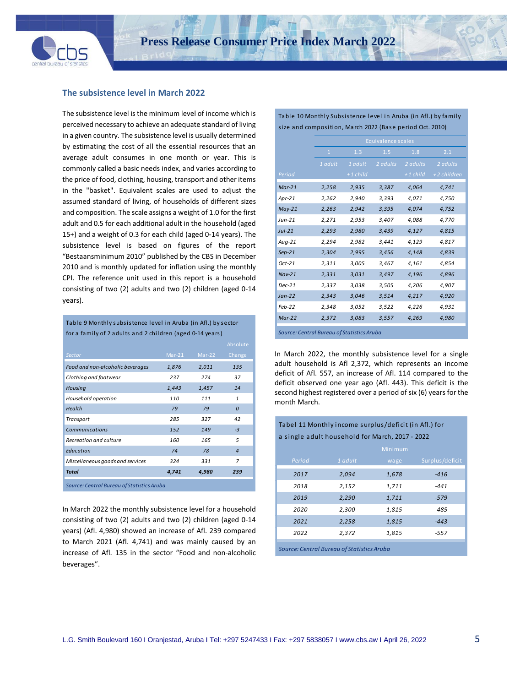

 $\ddot{\phantom{a}}$ 

#### **The subsistence level in March 2022**

The subsistence level is the minimum level of income which is perceived necessary to achieve an adequate standard of living in a given country. The subsistence level is usually determined by estimating the cost of all the essential resources that an average adult consumes in one month or year. This is commonly called a basic needs index, and varies according to the price of food, clothing, housing, transport and other items in the "basket". Equivalent scales are used to adjust the assumed standard of living, of households of different sizes and composition. The scale assigns a weight of 1.0 for the first adult and 0.5 for each additional adult in the household (aged 15+) and a weight of 0.3 for each child (aged 0-14 years). The subsistence level is based on figures of the report "Bestaansminimum 2010" published by the CBS in December 2010 and is monthly updated for inflation using the monthly CPI. The reference unit used in this report is a household consisting of two (2) adults and two (2) children (aged 0-14 years).

Table 9 Monthly subsistence level in Aruba (in Afl.) by sector for a family of 2 adults and 2 children (aged 0-14 years)

|                                            |          |          | Absolute       |  |  |  |  |
|--------------------------------------------|----------|----------|----------------|--|--|--|--|
| Sector                                     | $Mar-21$ | $Mar-22$ | Change         |  |  |  |  |
| Food and non-alcoholic beverages           | 1,876    | 2,011    | 135            |  |  |  |  |
| Clothing and footwear                      | 237      | 274      | 37             |  |  |  |  |
| Housing                                    | 1,443    | 1,457    | 14             |  |  |  |  |
| Household operation                        | 110      | 111      | $\mathbf{1}$   |  |  |  |  |
| Health                                     | 79       | 79       | $\Omega$       |  |  |  |  |
| Transport                                  | 285      | 327      | 42             |  |  |  |  |
| Communications                             | 152      | 149      | $-3$           |  |  |  |  |
| Recreation and culture                     | 160      | 165      | 5              |  |  |  |  |
| Education                                  | 74       | 78       | $\overline{4}$ |  |  |  |  |
| Miscellaneous goods and services           | 324      | 331      | 7              |  |  |  |  |
| <b>Total</b>                               | 4,741    | 4,980    | 239            |  |  |  |  |
| Source: Central Bureau of Statistics Aruba |          |          |                |  |  |  |  |

In March 2022 the monthly subsistence level for a household consisting of two (2) adults and two (2) children (aged 0-14 years) (Afl. 4,980) showed an increase of Afl. 239 compared to March 2021 (Afl. 4,741) and was mainly caused by an increase of Afl. 135 in the sector "Food and non-alcoholic beverages".

Table 10 Monthly Subsistence level in Aruba (in Afl.) by family size and composition, March 2022 (Base period Oct. 2010)

|                                            |              |            | <b>Equivalence scales</b> |            |             |
|--------------------------------------------|--------------|------------|---------------------------|------------|-------------|
|                                            | $\mathbf{1}$ | 1.3        | 1.5                       | 1.8        | 2.1         |
|                                            | 1 adult      | 1 adult    | 2 adults                  | 2 adults   | 2 adults    |
| Period                                     |              | $+1$ child |                           | $+1$ child | +2 children |
| $Mar-21$                                   | 2,258        | 2,935      | 3,387                     | 4,064      | 4,741       |
| Apr-21                                     | 2,262        | 2,940      | 3,393                     | 4,071      | 4,750       |
| $May-21$                                   | 2,263        | 2,942      | 3,395                     | 4,074      | 4,752       |
| $Jun-21$                                   | 2,271        | 2,953      | 3,407                     | 4,088      | 4,770       |
| $Jul-21$                                   | 2,293        | 2,980      | 3,439                     | 4,127      | 4,815       |
| $Aug-21$                                   | 2,294        | 2,982      | 3,441                     | 4,129      | 4,817       |
| $Sep-21$                                   | 2,304        | 2,995      | 3,456                     | 4,148      | 4,839       |
| $Oct-21$                                   | 2,311        | 3,005      | 3,467                     | 4,161      | 4,854       |
| $Nov-21$                                   | 2,331        | 3,031      | 3,497                     | 4,196      | 4,896       |
| $Dec-21$                                   | 2,337        | 3,038      | 3,505                     | 4,206      | 4,907       |
| $Jan-22$                                   | 2,343        | 3,046      | 3,514                     | 4,217      | 4,920       |
| $Feb-22$                                   | 2,348        | 3,052      | 3,522                     | 4,226      | 4,931       |
| $Mar-22$                                   | 2,372        | 3,083      | 3,557                     | 4,269      | 4,980       |
| Source: Central Bureau of Statistics Aruba |              |            |                           |            |             |

In March 2022, the monthly subsistence level for a single adult household is Afl 2,372, which represents an income deficit of Afl. 557, an increase of Afl. 114 compared to the deficit observed one year ago (Afl. 443). This deficit is the second highest registered over a period of six (6) years for the month March.

Tabel 11 Monthly income surplus/deficit (in Afl.) for

| a single adult household for March, 2017 - 2022 |                                            |         |                 |  |  |  |  |  |
|-------------------------------------------------|--------------------------------------------|---------|-----------------|--|--|--|--|--|
|                                                 |                                            | Minimum |                 |  |  |  |  |  |
| Period                                          | 1 adult                                    | wage    | Surplus/deficit |  |  |  |  |  |
| 2017                                            | 2,094                                      | 1,678   | $-416$          |  |  |  |  |  |
| 2018                                            | 2,152                                      | 1,711   | $-441$          |  |  |  |  |  |
| 2019                                            | 2,290                                      | 1,711   | $-579$          |  |  |  |  |  |
| 2020                                            | 2,300                                      | 1,815   | $-485$          |  |  |  |  |  |
| 2021                                            | 2,258                                      | 1,815   | $-443$          |  |  |  |  |  |
| 2022                                            | 2,372                                      | 1,815   | $-557$          |  |  |  |  |  |
|                                                 | Source: Central Bureau of Statistics Aruba |         |                 |  |  |  |  |  |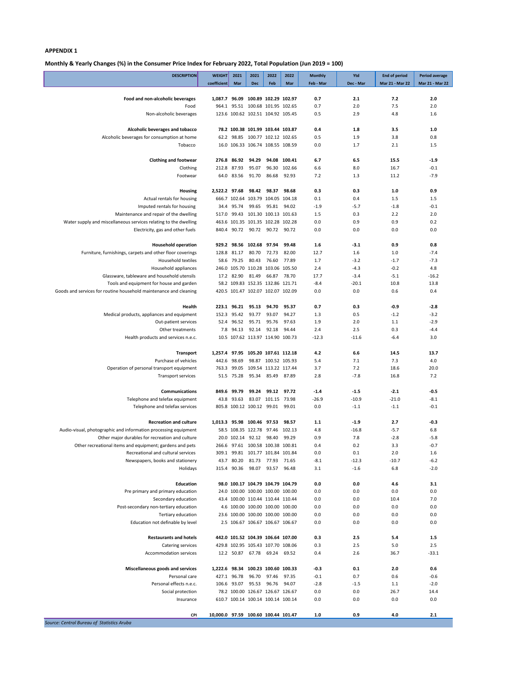## **Monthly & Yearly Changes (%) in the Consumer Price Index for February 2022, Total Population (Jun 2019 = 100)**

| <b>DESCRIPTION</b>                                                              | <b>WEIGHT</b>                       | 2021                       | 2021                              | 2022                | 2022           | <b>Monthly</b> | Ytd           | <b>End of period</b> | <b>Period average</b> |
|---------------------------------------------------------------------------------|-------------------------------------|----------------------------|-----------------------------------|---------------------|----------------|----------------|---------------|----------------------|-----------------------|
|                                                                                 | coefficient                         | Mar                        | <b>Dec</b>                        | Feb                 | Mar            | Feb - Mar      | Dec - Mar     | Mar 21 - Mar 22      | Mar 21 - Mar 22       |
| Food and non-alcoholic beverages                                                | 1,087.7 96.09 100.89 102.29 102.97  |                            |                                   |                     |                | 0.7            | 2.1           | 7.2                  | 2.0                   |
| Food                                                                            |                                     |                            | 964.1 95.51 100.68 101.95 102.65  |                     |                | 0.7            | 2.0           | 7.5                  | 2.0                   |
| Non-alcoholic beverages                                                         |                                     |                            | 123.6 100.62 102.51 104.92 105.45 |                     |                | 0.5            | 2.9           | 4.8                  | 1.6                   |
| Alcoholic beverages and tobacco                                                 |                                     |                            | 78.2 100.38 101.99 103.44 103.87  |                     |                | 0.4            | 1.8           | 3.5                  | 1.0                   |
| Alcoholic beverages for consumption at home                                     |                                     |                            | 62.2 98.85 100.77 102.12 102.65   |                     |                | 0.5            | 1.9           | 3.8                  | 0.8                   |
| Tobacco                                                                         |                                     |                            | 16.0 106.33 106.74 108.55 108.59  |                     |                | 0.0            | 1.7           | 2.1                  | 1.5                   |
| <b>Clothing and footwear</b>                                                    |                                     | 276.8 86.92                | 94.29                             |                     | 94.08 100.41   | 6.7            | 6.5           | 15.5                 | $-1.9$                |
| Clothing                                                                        | 212.8                               | 87.93                      | 95.07                             |                     | 96.30 102.66   | 6.6            | 8.0           | 16.7                 | $-0.1$                |
| Footwear                                                                        |                                     | 64.0 83.56                 | 91.70                             | 86.68               | 92.93          | 7.2            | 1.3           | 11.2                 | $-7.9$                |
|                                                                                 |                                     |                            |                                   |                     |                |                |               |                      |                       |
| <b>Housing</b>                                                                  | 2,522.2 97.68                       |                            | 666.7 102.64 103.79 104.05 104.18 | 98.42 98.37         | 98.68          | 0.3            | 0.3           | 1.0<br>1.5           | 0.9<br>1.5            |
| Actual rentals for housing<br>Imputed rentals for housing                       |                                     | 34.4 95.74                 | 99.65                             | 95.81 94.02         |                | 0.1<br>$-1.9$  | 0.4<br>$-5.7$ | $-1.8$               | $-0.1$                |
| Maintenance and repair of the dwelling                                          |                                     |                            | 517.0 99.43 101.30 100.13 101.63  |                     |                | 1.5            | 0.3           | 2.2                  | 2.0                   |
| Water supply and miscellaneous services relating to the dwelling                |                                     |                            | 463.6 101.35 101.35 102.28 102.28 |                     |                | 0.0            | 0.9           | 0.9                  | 0.2                   |
| Electricity, gas and other fuels                                                |                                     |                            | 840.4 90.72 90.72 90.72 90.72     |                     |                | 0.0            | 0.0           | 0.0                  | 0.0                   |
|                                                                                 |                                     |                            |                                   |                     |                |                |               |                      |                       |
| <b>Household operation</b>                                                      |                                     |                            | 929.2 98.56 102.68 97.94          |                     | 99.48          | 1.6            | $-3.1$        | 0.9                  | 0.8                   |
| Furniture, furnishings, carpets and other floor coverings<br>Household textiles | 58.6                                | 128.8 81.17<br>79.25       | 80.70<br>80.43                    | 72.73<br>76.60      | 82.00<br>77.89 | 12.7<br>1.7    | 1.6<br>$-3.2$ | 1.0<br>$-1.7$        | $-7.4$<br>$-7.3$      |
| Household appliances                                                            |                                     |                            | 246.0 105.70 110.28 103.06 105.50 |                     |                | 2.4            | $-4.3$        | $-0.2$               | 4.8                   |
| Glassware, tableware and household utensils                                     |                                     | 17.2 82.90                 | 81.49                             |                     | 66.87 78.70    | 17.7           | $-3.4$        | $-5.1$               | $-16.2$               |
| Tools and equipment for house and garden                                        |                                     |                            | 58.2 109.83 152.35 132.86 121.71  |                     |                | $-8.4$         | $-20.1$       | 10.8                 | 13.8                  |
| Goods and services for routine household maintenance and cleaning               |                                     |                            | 420.5 101.47 102.07 102.07 102.09 |                     |                | 0.0            | 0.0           | 0.6                  | 0.4                   |
|                                                                                 |                                     |                            |                                   |                     |                |                |               |                      |                       |
| Health                                                                          |                                     | 223.1 96.21<br>152.3 95.42 | 95.13<br>93.77                    | 94.70<br>93.07      | 95.37<br>94.27 | 0.7<br>1.3     | 0.3<br>0.5    | $-0.9$<br>$-1.2$     | $-2.8$<br>$-3.2$      |
| Medical products, appliances and equipment<br>Out-patient services              |                                     | 52.4 96.52                 | 95.71                             | 95.76               | 97.63          | 1.9            | 2.0           | 1.1                  | $-2.9$                |
| Other treatments                                                                |                                     | 7.8 94.13                  |                                   | 92.14 92.18         | 94.44          | 2.4            | 2.5           | 0.3                  | $-4.4$                |
| Health products and services n.e.c.                                             |                                     |                            | 10.5 107.62 113.97 114.90 100.73  |                     |                | $-12.3$        | $-11.6$       | $-6.4$               | 3.0                   |
|                                                                                 |                                     |                            |                                   |                     |                |                |               |                      |                       |
| <b>Transport</b>                                                                | 1,257.4 97.95 105.20 107.61 112.18  |                            |                                   |                     |                | 4.2            | 6.6           | 14.5                 | 13.7                  |
| Purchase of vehicles                                                            |                                     | 442.6 98.69                |                                   | 98.87 100.52 105.93 |                | 5.4            | 7.1           | 7.3                  | 4.0                   |
| Operation of personal transport equipment<br><b>Transport services</b>          | 763.3                               | 99.05<br>51.5 75.28        | 109.54 113.22 117.44<br>95.34     | 85.49 87.89         |                | 3.7<br>2.8     | 7.2<br>$-7.8$ | 18.6<br>16.8         | 20.0<br>7.2           |
|                                                                                 |                                     |                            |                                   |                     |                |                |               |                      |                       |
| <b>Communications</b>                                                           | 849.6                               | 99.79                      | 99.24                             |                     | 99.12 97.72    | $-1.4$         | $-1.5$        | $-2.1$               | $-0.5$                |
| Telephone and telefax equipment                                                 |                                     | 43.8 93.63                 |                                   | 83.07 101.15 73.98  |                | $-26.9$        | $-10.9$       | $-21.0$              | $-8.1$                |
| Telephone and telefax services                                                  |                                     |                            | 805.8 100.12 100.12 99.01 99.01   |                     |                | 0.0            | $-1.1$        | $-1.1$               | $-0.1$                |
| <b>Recreation and culture</b>                                                   | 1,013.3 95.98 100.46 97.53 98.57    |                            |                                   |                     |                | 1.1            | $-1.9$        | 2.7                  | $-0.3$                |
| Audio-visual, photographic and information processing equipment                 |                                     |                            | 58.5 108.35 122.78 97.46 102.13   |                     |                | 4.8            | $-16.8$       | $-5.7$               | 6.8                   |
| Other major durables for recreation and culture                                 |                                     |                            | 20.0 102.14 92.12 98.40 99.29     |                     |                | 0.9            | 7.8           | $-2.8$               | $-5.8$                |
| Other recreational items and equipment; gardens and pets                        |                                     |                            | 266.6 97.61 100.58 100.38 100.81  |                     |                | 0.4            | 0.2           | 3.3                  | $-0.7$                |
| Recreational and cultural services                                              |                                     |                            | 309.1 99.81 101.77 101.84 101.84  |                     |                | 0.0            | 0.1           | 2.0                  | 1.6                   |
| Newspapers, books and stationery                                                |                                     | 43.7 80.20                 | 81.73                             | 77.93 71.65         |                | $-8.1$         | $-12.3$       | $-10.7$              | $-6.2$                |
| Holidays                                                                        |                                     | 315.4 90.36                | 98.07                             | 93.57 96.48         |                | 3.1            | $-1.6$        | 6.8                  | $-2.0$                |
| <b>Education</b>                                                                |                                     |                            | 98.0 100.17 104.79 104.79 104.79  |                     |                | 0.0            | 0.0           | 4.6                  | 3.1                   |
| Pre primary and primary education                                               |                                     |                            | 24.0 100.00 100.00 100.00 100.00  |                     |                | 0.0            | 0.0           | 0.0                  | 0.0                   |
| Secondary education                                                             |                                     |                            | 43.4 100.00 110.44 110.44 110.44  |                     |                | 0.0            | 0.0           | 10.4                 | 7.0                   |
| Post-secondary non-tertiary education                                           |                                     |                            | 4.6 100.00 100.00 100.00 100.00   |                     |                | 0.0            | 0.0           | 0.0                  | 0.0                   |
| Tertiary education                                                              |                                     |                            | 23.6 100.00 100.00 100.00 100.00  |                     |                | 0.0            | 0.0           | 0.0                  | 0.0                   |
| Education not definable by level                                                |                                     |                            | 2.5 106.67 106.67 106.67 106.67   |                     |                | 0.0            | 0.0           | 0.0                  | 0.0                   |
| <b>Restaurants and hotels</b>                                                   |                                     |                            | 442.0 101.52 104.39 106.64 107.00 |                     |                | 0.3            | 2.5           | 5.4                  | 1.5                   |
| Catering services                                                               |                                     |                            | 429.8 102.95 105.43 107.70 108.06 |                     |                | 0.3            | 2.5           | 5.0                  | 2.5                   |
| <b>Accommodation services</b>                                                   |                                     |                            | 12.2 50.87 67.78 69.24 69.52      |                     |                | 0.4            | 2.6           | 36.7                 | $-33.1$               |
| <b>Miscellaneous goods and services</b>                                         | 1,222.6 98.34 100.23 100.60 100.33  |                            |                                   |                     |                | $-0.3$         | 0.1           | 2.0                  | 0.6                   |
| Personal care                                                                   |                                     | 427.1 96.78                | 96.70                             | 97.46 97.35         |                | $-0.1$         | 0.7           | 0.6                  | $-0.6$                |
| Personal effects n.e.c.                                                         |                                     | 106.6 93.07                |                                   | 95.53 96.76 94.07   |                | $-2.8$         | $-1.5$        | 1.1                  | $-2.0$                |
| Social protection                                                               |                                     |                            | 78.2 100.00 126.67 126.67 126.67  |                     |                | 0.0            | 0.0           | 26.7                 | 14.4                  |
| Insurance                                                                       |                                     |                            | 610.7 100.14 100.14 100.14 100.14 |                     |                | 0.0            | 0.0           | 0.0                  | 0.0                   |
|                                                                                 |                                     |                            |                                   |                     |                |                |               |                      |                       |
| CPI<br>Source: Central Bureau of Statistics Aruba                               | 10,000.0 97.59 100.60 100.44 101.47 |                            |                                   |                     |                | 1.0            | 0.9           | 4.0                  | 2.1                   |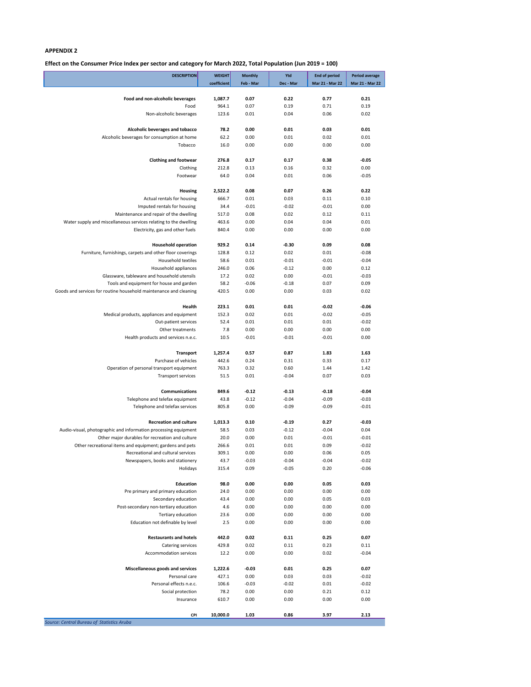## **Effect on the Consumer Price Index per sector and category for March 2022, Total Population (Jun 2019 = 100)**

| <b>DESCRIPTION</b>                                                                      | <b>WEIGHT</b>    | <b>Monthly</b>  | Ytd                | <b>End of period</b> | <b>Period average</b> |
|-----------------------------------------------------------------------------------------|------------------|-----------------|--------------------|----------------------|-----------------------|
|                                                                                         | coefficient      | Feb - Mar       | Dec - Mar          | Mar 21 - Mar 22      | Mar 21 - Mar 22       |
|                                                                                         |                  |                 |                    |                      |                       |
| Food and non-alcoholic beverages<br>Food                                                | 1,087.7<br>964.1 | 0.07<br>0.07    | 0.22<br>0.19       | 0.77<br>0.71         | 0.21<br>0.19          |
| Non-alcoholic beverages                                                                 | 123.6            | 0.01            | 0.04               | 0.06                 | 0.02                  |
|                                                                                         |                  |                 |                    |                      |                       |
| Alcoholic beverages and tobacco                                                         | 78.2             | 0.00            | 0.01               | 0.03                 | 0.01                  |
| Alcoholic beverages for consumption at home                                             | 62.2             | 0.00            | 0.01               | 0.02                 | 0.01                  |
| Tobacco                                                                                 | 16.0             | 0.00            | 0.00               | 0.00                 | 0.00                  |
|                                                                                         |                  |                 |                    |                      |                       |
| <b>Clothing and footwear</b>                                                            | 276.8            | 0.17            | 0.17               | 0.38                 | $-0.05$               |
| Clothing                                                                                | 212.8            | 0.13            | 0.16               | 0.32                 | 0.00                  |
| Footwear                                                                                | 64.0             | 0.04            | 0.01               | 0.06                 | $-0.05$               |
| Housing                                                                                 | 2,522.2          | 0.08            | 0.07               | 0.26                 | 0.22                  |
| Actual rentals for housing                                                              | 666.7            | 0.01            | 0.03               | 0.11                 | 0.10                  |
| Imputed rentals for housing                                                             | 34.4             | $-0.01$         | $-0.02$            | $-0.01$              | 0.00                  |
| Maintenance and repair of the dwelling                                                  | 517.0            | 0.08            | 0.02               | 0.12                 | 0.11                  |
| Water supply and miscellaneous services relating to the dwelling                        | 463.6            | 0.00            | 0.04               | 0.04                 | 0.01                  |
| Electricity, gas and other fuels                                                        | 840.4            | 0.00            | 0.00               | 0.00                 | 0.00                  |
|                                                                                         |                  |                 |                    |                      |                       |
| <b>Household operation</b>                                                              | 929.2            | 0.14            | $-0.30$            | 0.09                 | 0.08                  |
| Furniture, furnishings, carpets and other floor coverings                               | 128.8            | 0.12            | 0.02               | 0.01                 | $-0.08$               |
| <b>Household textiles</b>                                                               | 58.6             | 0.01            | $-0.01$            | $-0.01$              | $-0.04$               |
| Household appliances                                                                    | 246.0            | 0.06            | $-0.12$            | 0.00                 | 0.12                  |
| Glassware, tableware and household utensils<br>Tools and equipment for house and garden | 17.2<br>58.2     | 0.02<br>$-0.06$ | 0.00<br>$-0.18$    | $-0.01$<br>0.07      | $-0.03$<br>0.09       |
| Goods and services for routine household maintenance and cleaning                       | 420.5            | 0.00            | 0.00               | 0.03                 | 0.02                  |
|                                                                                         |                  |                 |                    |                      |                       |
| Health                                                                                  | 223.1            | 0.01            | 0.01               | $-0.02$              | $-0.06$               |
| Medical products, appliances and equipment                                              | 152.3            | 0.02            | 0.01               | $-0.02$              | $-0.05$               |
| Out-patient services                                                                    | 52.4             | 0.01            | 0.01               | 0.01                 | $-0.02$               |
| Other treatments                                                                        | 7.8              | 0.00            | 0.00               | 0.00                 | 0.00                  |
| Health products and services n.e.c.                                                     | 10.5             | $-0.01$         | $-0.01$            | $-0.01$              | 0.00                  |
|                                                                                         |                  |                 |                    |                      |                       |
| <b>Transport</b>                                                                        | 1,257.4          | 0.57            | 0.87               | 1.83                 | 1.63                  |
| Purchase of vehicles                                                                    | 442.6            | 0.24            | 0.31               | 0.33                 | 0.17                  |
| Operation of personal transport equipment<br><b>Transport services</b>                  | 763.3<br>51.5    | 0.32<br>0.01    | 0.60<br>$-0.04$    | 1.44<br>0.07         | 1.42<br>0.03          |
|                                                                                         |                  |                 |                    |                      |                       |
| <b>Communications</b>                                                                   | 849.6            | $-0.12$         | $-0.13$            | $-0.18$              | $-0.04$               |
| Telephone and telefax equipment                                                         | 43.8             | $-0.12$         | $-0.04$            | $-0.09$              | $-0.03$               |
| Telephone and telefax services                                                          | 805.8            | 0.00            | $-0.09$            | $-0.09$              | $-0.01$               |
|                                                                                         |                  |                 |                    |                      |                       |
| <b>Recreation and culture</b>                                                           | 1,013.3          | 0.10            | $-0.19$            | 0.27                 | $-0.03$               |
| Audio-visual, photographic and information processing equipment                         | 58.5             | 0.03            | $-0.12$            | $-0.04$              | 0.04                  |
| Other major durables for recreation and culture                                         | 20.0             | 0.00            | 0.01               | $-0.01$              | $-0.01$               |
| Other recreational items and equipment; gardens and pets                                | 266.6            | 0.01            | 0.01               | 0.09                 | $-0.02$               |
| Recreational and cultural services                                                      | 309.1            | 0.00            | 0.00               | 0.06                 | 0.05                  |
| Newspapers, books and stationery<br>Holidays                                            | 43.7<br>315.4    | $-0.03$<br>0.09 | $-0.04$<br>$-0.05$ | $-0.04$<br>0.20      | $-0.02$<br>$-0.06$    |
|                                                                                         |                  |                 |                    |                      |                       |
| <b>Education</b>                                                                        | 98.0             | 0.00            | 0.00               | 0.05                 | 0.03                  |
| Pre primary and primary education                                                       | 24.0             | 0.00            | 0.00               | 0.00                 | 0.00                  |
| Secondary education                                                                     | 43.4             | 0.00            | 0.00               | 0.05                 | 0.03                  |
| Post-secondary non-tertiary education                                                   | 4.6              | 0.00            | 0.00               | 0.00                 | 0.00                  |
| Tertiary education                                                                      | 23.6             | 0.00            | 0.00               | 0.00                 | 0.00                  |
| Education not definable by level                                                        | 2.5              | 0.00            | 0.00               | 0.00                 | 0.00                  |
|                                                                                         |                  |                 |                    |                      |                       |
| <b>Restaurants and hotels</b>                                                           | 442.0            | 0.02            | 0.11               | 0.25                 | 0.07                  |
| Catering services                                                                       | 429.8            | 0.02            | 0.11               | 0.23                 | 0.11                  |
| Accommodation services                                                                  | 12.2             | 0.00            | 0.00               | 0.02                 | $-0.04$               |
| Miscellaneous goods and services                                                        | 1,222.6          | $-0.03$         | 0.01               | 0.25                 | 0.07                  |
| Personal care                                                                           | 427.1            | 0.00            | 0.03               | 0.03                 | $-0.02$               |
| Personal effects n.e.c.                                                                 | 106.6            | $-0.03$         | $-0.02$            | 0.01                 | $-0.02$               |
| Social protection                                                                       | 78.2             | 0.00            | 0.00               | 0.21                 | 0.12                  |
| Insurance                                                                               | 610.7            | 0.00            | 0.00               | 0.00                 | 0.00                  |
|                                                                                         |                  |                 |                    |                      |                       |
| CPI<br>$\alpha$ f Ctatiotic<br>10.000                                                   | 10,000.0         | 1.03            | 0.86               | 3.97                 | 2.13                  |

*Source: Central Bureau of Statistics Aruba*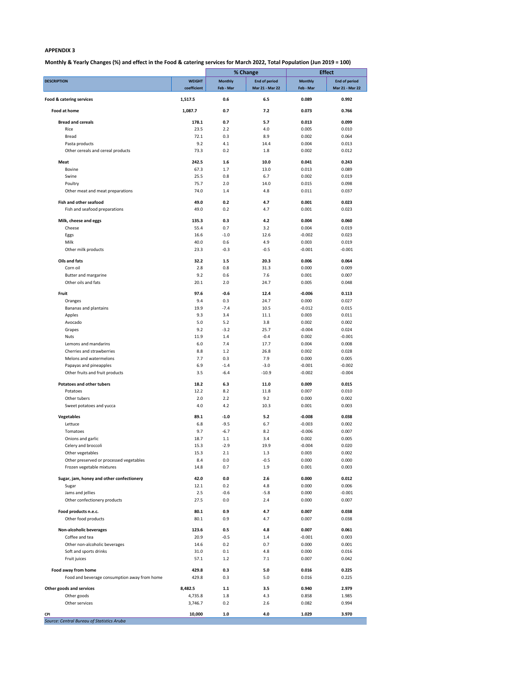**Monthly & Yearly Changes (%) and effect in the Food & catering services for March 2022, Total Population (Jun 2019 = 100)**

|                                              |               |                | % Change             | <b>Effect</b>  |                      |  |
|----------------------------------------------|---------------|----------------|----------------------|----------------|----------------------|--|
| <b>DESCRIPTION</b>                           | <b>WEIGHT</b> | <b>Monthly</b> | <b>End of period</b> | <b>Monthly</b> | <b>End of period</b> |  |
|                                              | coefficient   | Feb - Mar      | Mar 21 - Mar 22      | Feb - Mar      | Mar 21 - Mar 22      |  |
| Food & catering services                     | 1,517.5       | 0.6            | 6.5                  | 0.089          | 0.992                |  |
| Food at home                                 | 1,087.7       | 0.7            | 7.2                  | 0.073          | 0.766                |  |
| <b>Bread and cereals</b>                     | 178.1         | 0.7            | 5.7                  | 0.013          | 0.099                |  |
| Rice                                         | 23.5          | 2.2            | 4.0                  | 0.005          | 0.010                |  |
| <b>Bread</b>                                 | 72.1          | 0.3            | 8.9                  | 0.002          | 0.064                |  |
| Pasta products                               | 9.2           | 4.1            | 14.4                 | 0.004          | 0.013                |  |
| Other cereals and cereal products            | 73.3          | 0.2            | 1.8                  | 0.002          | 0.012                |  |
| Meat                                         | 242.5         | $1.6\,$        | 10.0                 | 0.041          | 0.243                |  |
| Bovine                                       | 67.3          | 1.7            | 13.0                 | 0.013          | 0.089                |  |
| Swine                                        | 25.5          | 0.8            | 6.7                  | 0.002          | 0.019                |  |
| Poultry                                      | 75.7          | 2.0            | 14.0                 | 0.015          | 0.098                |  |
| Other meat and meat preparations             | 74.0          | 1.4            | 4.8                  | 0.011          | 0.037                |  |
| Fish and other seafood                       | 49.0          | 0.2            | 4.7                  | 0.001          | 0.023                |  |
| Fish and seafood preparations                | 49.0          | 0.2            | 4.7                  | 0.001          | 0.023                |  |
|                                              |               |                |                      |                |                      |  |
| Milk, cheese and eggs                        | 135.3         | 0.3            | 4.2                  | 0.004          | 0.060                |  |
| Cheese                                       | 55.4          | 0.7            | 3.2                  | 0.004          | 0.019                |  |
| Eggs                                         | 16.6          | $-1.0$         | 12.6                 | $-0.002$       | 0.023                |  |
| Milk                                         | 40.0          | 0.6            | 4.9                  | 0.003          | 0.019                |  |
| Other milk products                          | 23.3          | $-0.3$         | $-0.5$               | $-0.001$       | $-0.001$             |  |
| Oils and fats                                | 32.2          | 1.5            | 20.3                 | 0.006          | 0.064                |  |
| Corn oil                                     | 2.8           | 0.8            | 31.3                 | 0.000          | 0.009                |  |
| Butter and margarine                         | 9.2           | 0.6            | 7.6                  | 0.001          | 0.007                |  |
| Other oils and fats                          | 20.1          | 2.0            | 24.7                 | 0.005          | 0.048                |  |
| Fruit                                        | 97.6          | $-0.6$         | 12.4                 | $-0.006$       | 0.113                |  |
| Oranges                                      | 9.4           | 0.3            | 24.7                 | 0.000          | 0.027                |  |
| Bananas and plantains                        | 19.9          | $-7.4$         | 10.5                 | $-0.012$       | 0.015                |  |
| Apples                                       | 9.3           | 3.4            | 11.1                 | 0.003          | 0.011                |  |
| Avocado                                      | 5.0           | 5.2            | 3.8                  | 0.002          | 0.002                |  |
| Grapes                                       | 9.2           | $-3.2$         | 25.7                 | $-0.004$       | 0.024                |  |
| <b>Nuts</b>                                  | 11.9          | 1.4            | $-0.4$               | 0.002          | $-0.001$             |  |
| Lemons and mandarins                         | 6.0           | 7.4            | 17.7                 | 0.004          | 0.008                |  |
| Cherries and strawberries                    | 8.8           | $1.2\,$        | 26.8                 | 0.002          | 0.028                |  |
| Melons and watermelons                       | 7.7           | 0.3            | 7.9                  | 0.000          | 0.005                |  |
| Papayas and pineapples                       | 6.9           | $-1.4$         | $-3.0$               | $-0.001$       | $-0.002$             |  |
| Other fruits and fruit products              | 3.5           | $-6.4$         | $-10.9$              | $-0.002$       | $-0.004$             |  |
| <b>Potatoes and other tubers</b>             | 18.2          | 6.3            | 11.0                 | 0.009          | 0.015                |  |
| Potatoes                                     | 12.2          | 8.2            | 11.8                 | 0.007          | 0.010                |  |
| Other tubers                                 | 2.0           | 2.2            | 9.2                  | 0.000          | 0.002                |  |
| Sweet potatoes and yucca                     | 4.0           | 4.2            | 10.3                 | 0.001          | 0.003                |  |
| Vegetables                                   | 89.1          | $-1.0$         | 5.2                  | $-0.008$       | 0.038                |  |
| Lettuce                                      | 6.8           | $-9.5$         | 6.7                  | $-0.003$       | 0.002                |  |
| Tomatoes                                     | 9.7           | $-6.7$         | 8.2                  | $-0.006$       | 0.007                |  |
| Onions and garlic                            | 18.7          | 1.1            | 3.4                  | 0.002          | 0.005                |  |
| Celery and broccoli                          | 15.3          | $-2.9$         | 19.9                 | $-0.004$       | 0.020                |  |
| Other vegetables                             | 15.3          | 2.1            | 1.3                  | 0.003          | 0.002                |  |
| Other preserved or processed vegetables      | 8.4           | 0.0            | $-0.5$               | 0.000          | 0.000                |  |
| Frozen vegetable mixtures                    | 14.8          | 0.7            | 1.9                  | 0.001          | 0.003                |  |
|                                              |               |                |                      |                |                      |  |
| Sugar, jam, honey and other confectionery    | 42.0          | $0.0\,$        | 2.6                  | 0.000          | 0.012                |  |
| Sugar<br>Jams and jellies                    | 12.1<br>2.5   | 0.2<br>$-0.6$  | 4.8<br>$-5.8$        | 0.000<br>0.000 | 0.006<br>$-0.001$    |  |
| Other confectionery products                 | 27.5          | 0.0            | 2.4                  | 0.000          | 0.007                |  |
|                                              |               |                |                      |                |                      |  |
| Food products n.e.c.                         | 80.1          | 0.9            | 4.7                  | 0.007          | 0.038                |  |
| Other food products                          | 80.1          | 0.9            | 4.7                  | 0.007          | 0.038                |  |
| Non-alcoholic beverages                      | 123.6         | 0.5            | 4.8                  | 0.007          | 0.061                |  |
| Coffee and tea                               | 20.9          | $-0.5$         | 1.4                  | $-0.001$       | 0.003                |  |
| Other non-alcoholic beverages                | 14.6          | 0.2            | 0.7                  | 0.000          | 0.001                |  |
| Soft and sports drinks                       | 31.0          | 0.1            | 4.8                  | 0.000          | 0.016                |  |
| Fruit juices                                 | 57.1          | $1.2\,$        | 7.1                  | 0.007          | 0.042                |  |
|                                              |               |                |                      |                |                      |  |
| Food away from home                          | 429.8         | 0.3            | 5.0                  | 0.016          | 0.225                |  |
| Food and beverage consumption away from home | 429.8         | 0.3            | 5.0                  | 0.016          | 0.225                |  |
| Other goods and services                     | 8,482.5       | 1.1            | 3.5                  | 0.940          | 2.979                |  |
| Other goods                                  | 4,735.8       | 1.8            | 4.3                  | 0.858          | 1.985                |  |
| Other services                               | 3,746.7       | 0.2            | 2.6                  | 0.082          | 0.994                |  |
| CPI                                          | 10,000        | 1.0            | 4.0                  | 1.029          | 3.970                |  |
| Source: Central Bureau of Statistics Aruba   |               |                |                      |                |                      |  |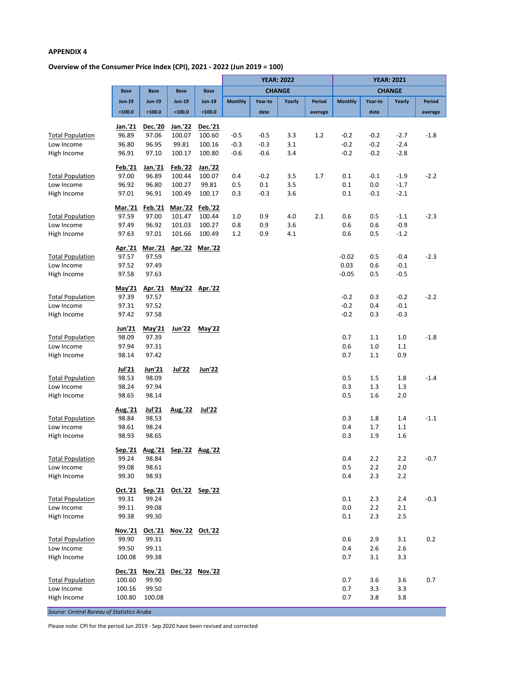## **Overview of the Consumer Price Index (CPI), 2021 - 2022 (Jun 2019 = 100)**

|                                            |                  |                  |                         |                   | <b>YEAR: 2022</b> |         |        |         | <b>YEAR: 2021</b> |            |            |         |
|--------------------------------------------|------------------|------------------|-------------------------|-------------------|-------------------|---------|--------|---------|-------------------|------------|------------|---------|
|                                            | <b>Base</b>      | <b>Base</b>      | <b>Base</b>             | <b>Base</b>       | <b>CHANGE</b>     |         |        |         | <b>CHANGE</b>     |            |            |         |
|                                            | <b>Jun-19</b>    | <b>Jun-19</b>    | <b>Jun-19</b>           | <b>Jun-19</b>     | <b>Monthly</b>    | Year-to | Yearly | Period  | <b>Monthly</b>    | Year-to    | Yearly     | Period  |
|                                            | $=100.0$         | $=100.0$         | $=100.0$                | $=100.0$          |                   | date    |        | average |                   | date       |            | average |
|                                            |                  |                  |                         |                   |                   |         |        |         |                   |            |            |         |
|                                            | Jan.'21<br>96.89 | Dec.'20<br>97.06 | Jan.'22<br>100.07       | Dec.'21<br>100.60 | $-0.5$            | $-0.5$  | 3.3    | 1.2     | $-0.2$            | $-0.2$     | $-2.7$     | $-1.8$  |
| <b>Total Population</b><br>Low Income      | 96.80            | 96.95            | 99.81                   | 100.16            | $-0.3$            | $-0.3$  | 3.1    |         | $-0.2$            | $-0.2$     | $-2.4$     |         |
| High Income                                | 96.91            | 97.10            | 100.17                  | 100.80            | $-0.6$            | $-0.6$  | 3.4    |         | $-0.2$            | $-0.2$     | $-2.8$     |         |
|                                            |                  |                  |                         |                   |                   |         |        |         |                   |            |            |         |
|                                            | Feb.'21          | Jan.'21          | <b>Feb.'22</b>          | Jan.'22           |                   |         |        |         |                   |            |            |         |
| <b>Total Population</b>                    | 97.00            | 96.89            | 100.44                  | 100.07            | 0.4               | $-0.2$  | 3.5    | 1.7     | 0.1               | $-0.1$     | $-1.9$     | $-2.2$  |
| Low Income                                 | 96.92            | 96.80            | 100.27                  | 99.81             | 0.5               | 0.1     | 3.5    |         | 0.1               | 0.0        | $-1.7$     |         |
| High Income                                | 97.01            | 96.91            | 100.49                  | 100.17            | 0.3               | $-0.3$  | 3.6    |         | 0.1               | $-0.1$     | $-2.1$     |         |
|                                            | Mar.'21          | Feb.'21          | Mar.'22                 | Feb.'22           |                   |         |        |         |                   |            |            |         |
| <b>Total Population</b>                    | 97.59            | 97.00            | 101.47                  | 100.44            | 1.0               | 0.9     | 4.0    | 2.1     | 0.6               | 0.5        | $-1.1$     | $-2.3$  |
| Low Income                                 | 97.49            | 96.92            | 101.03                  | 100.27            | 0.8               | 0.9     | 3.6    |         | 0.6               | 0.6        | $-0.9$     |         |
| High Income                                | 97.63            | 97.01            | 101.66                  | 100.49            | 1.2               | 0.9     | 4.1    |         | 0.6               | 0.5        | $-1.2$     |         |
|                                            |                  |                  |                         |                   |                   |         |        |         |                   |            |            |         |
| <b>Total Population</b>                    | Apr.'21<br>97.57 | 97.59            | Mar.'21 Apr.'22 Mar.'22 |                   |                   |         |        |         | $-0.02$           | 0.5        | $-0.4$     | $-2.3$  |
| Low Income                                 | 97.52            | 97.49            |                         |                   |                   |         |        |         | 0.03              | 0.6        | $-0.1$     |         |
| High Income                                | 97.58            | 97.63            |                         |                   |                   |         |        |         | $-0.05$           | 0.5        | $-0.5$     |         |
|                                            |                  |                  |                         |                   |                   |         |        |         |                   |            |            |         |
|                                            | May'21           | Apr.'21          |                         | May'22 Apr.'22    |                   |         |        |         |                   |            |            |         |
| <b>Total Population</b>                    | 97.39            | 97.57            |                         |                   |                   |         |        |         | $-0.2$            | 0.3        | $-0.2$     | $-2.2$  |
| Low Income                                 | 97.31            | 97.52            |                         |                   |                   |         |        |         | $-0.2$            | 0.4        | $-0.1$     |         |
| High Income                                | 97.42            | 97.58            |                         |                   |                   |         |        |         | $-0.2$            | 0.3        | $-0.3$     |         |
|                                            | Jun'21           | May'21           | Jun'22                  | May'22            |                   |         |        |         |                   |            |            |         |
| <b>Total Population</b>                    | 98.09            | 97.39            |                         |                   |                   |         |        |         | 0.7               | 1.1        | 1.0        | $-1.8$  |
| Low Income                                 | 97.94            | 97.31            |                         |                   |                   |         |        |         | 0.6               | $1.0$      | $1.1\,$    |         |
| High Income                                | 98.14            | 97.42            |                         |                   |                   |         |        |         | 0.7               | $1.1\,$    | 0.9        |         |
|                                            | <b>Jul'21</b>    | Jun'21           | <b>Jul'22</b>           | <b>Jun'22</b>     |                   |         |        |         |                   |            |            |         |
| <b>Total Population</b>                    | 98.53            | 98.09            |                         |                   |                   |         |        |         | 0.5               | 1.5        | 1.8        | $-1.4$  |
| Low Income                                 | 98.24            | 97.94            |                         |                   |                   |         |        |         | 0.3               | 1.3        | 1.3        |         |
| High Income                                | 98.65            | 98.14            |                         |                   |                   |         |        |         | 0.5               | 1.6        | 2.0        |         |
|                                            |                  |                  |                         |                   |                   |         |        |         |                   |            |            |         |
|                                            | Aug.'21          | Jul'21           | Aug.'22                 | Jul'22            |                   |         |        |         |                   |            |            |         |
| <b>Total Population</b>                    | 98.84            | 98.53            |                         |                   |                   |         |        |         | 0.3               | 1.8        | 1.4        | $-1.1$  |
| Low Income                                 | 98.61            | 98.24            |                         |                   |                   |         |        |         | 0.4               | 1.7        | 1.1        |         |
| High Income                                | 98.93            | 98.65            |                         |                   |                   |         |        |         | 0.3               | 1.9        | 1.6        |         |
|                                            | Sep.'21          |                  | Aug.'21 Sep.'22 Aug.'22 |                   |                   |         |        |         |                   |            |            |         |
| <b>Total Population</b>                    | 99.24            | 98.84            |                         |                   |                   |         |        |         | 0.4               | 2.2        | 2.2        | $-0.7$  |
| Low Income                                 | 99.08            | 98.61            |                         |                   |                   |         |        |         | 0.5               | 2.2        | 2.0        |         |
| High Income                                | 99.30            | 98.93            |                         |                   |                   |         |        |         | 0.4               | 2.3        | 2.2        |         |
|                                            | <u>Oct.'21</u>   | Sep.'21          |                         | Oct.'22 Sep.'22   |                   |         |        |         |                   |            |            |         |
| <b>Total Population</b>                    | 99.31            | 99.24            |                         |                   |                   |         |        |         | 0.1               | 2.3        | 2.4        | $-0.3$  |
| Low Income                                 | 99.11            | 99.08            |                         |                   |                   |         |        |         | 0.0               | 2.2        | 2.1        |         |
| High Income                                | 99.38            | 99.30            |                         |                   |                   |         |        |         | 0.1               | 2.3        | 2.5        |         |
|                                            |                  |                  |                         |                   |                   |         |        |         |                   |            |            |         |
|                                            | Nov.'21          | Oct.'21          | Nov.'22 Oct.'22         |                   |                   |         |        |         |                   |            |            |         |
| <b>Total Population</b><br>Low Income      | 99.90            | 99.31<br>99.11   |                         |                   |                   |         |        |         | 0.6<br>0.4        | 2.9        | 3.1        | 0.2     |
| High Income                                | 99.50<br>100.08  | 99.38            |                         |                   |                   |         |        |         | 0.7               | 2.6<br>3.1 | 2.6<br>3.3 |         |
|                                            |                  |                  |                         |                   |                   |         |        |         |                   |            |            |         |
|                                            | <u>Dec.'21</u>   |                  | Nov.'21 Dec.'22 Nov.'22 |                   |                   |         |        |         |                   |            |            |         |
| <b>Total Population</b>                    | 100.60           | 99.90            |                         |                   |                   |         |        |         | 0.7               | 3.6        | 3.6        | 0.7     |
| Low Income                                 | 100.16           | 99.50            |                         |                   |                   |         |        |         | 0.7               | 3.3        | 3.3        |         |
| High Income                                | 100.80           | 100.08           |                         |                   |                   |         |        |         | 0.7               | 3.8        | 3.8        |         |
| Source: Central Bureau of Statistics Aruba |                  |                  |                         |                   |                   |         |        |         |                   |            |            |         |

Please note: CPI for the period Jun 2019 - Sep 2020 have been revised and corrected